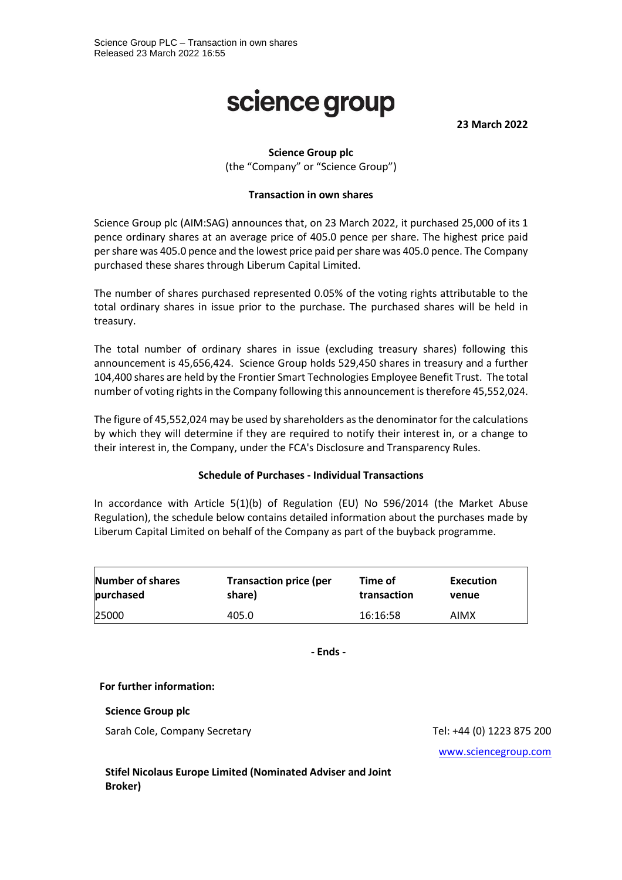# science group

**23 March 2022**

# **Science Group plc**

(the "Company" or "Science Group")

### **Transaction in own shares**

Science Group plc (AIM:SAG) announces that, on 23 March 2022, it purchased 25,000 of its 1 pence ordinary shares at an average price of 405.0 pence per share. The highest price paid per share was 405.0 pence and the lowest price paid per share was 405.0 pence. The Company purchased these shares through Liberum Capital Limited.

The number of shares purchased represented 0.05% of the voting rights attributable to the total ordinary shares in issue prior to the purchase. The purchased shares will be held in treasury.

The total number of ordinary shares in issue (excluding treasury shares) following this announcement is 45,656,424. Science Group holds 529,450 shares in treasury and a further 104,400 shares are held by the Frontier Smart Technologies Employee Benefit Trust. The total number of voting rights in the Company following this announcement is therefore 45,552,024.

The figure of 45,552,024 may be used by shareholders as the denominator for the calculations by which they will determine if they are required to notify their interest in, or a change to their interest in, the Company, under the FCA's Disclosure and Transparency Rules.

### **Schedule of Purchases - Individual Transactions**

In accordance with Article 5(1)(b) of Regulation (EU) No 596/2014 (the Market Abuse Regulation), the schedule below contains detailed information about the purchases made by Liberum Capital Limited on behalf of the Company as part of the buyback programme.

| Number of shares | <b>Transaction price (per</b> | Time of     | Execution |
|------------------|-------------------------------|-------------|-----------|
| purchased        | share)                        | transaction | venue     |
| 25000            | 405.0                         | 16:16:58    | AIMX      |

**- Ends -**

### **For further information:**

#### **Science Group plc**

Sarah Cole, Company Secretary Tel: +44 (0) 1223 875 200

[www.sciencegroup.com](http://www.sciencegroup.com/)

**Stifel Nicolaus Europe Limited (Nominated Adviser and Joint Broker)**